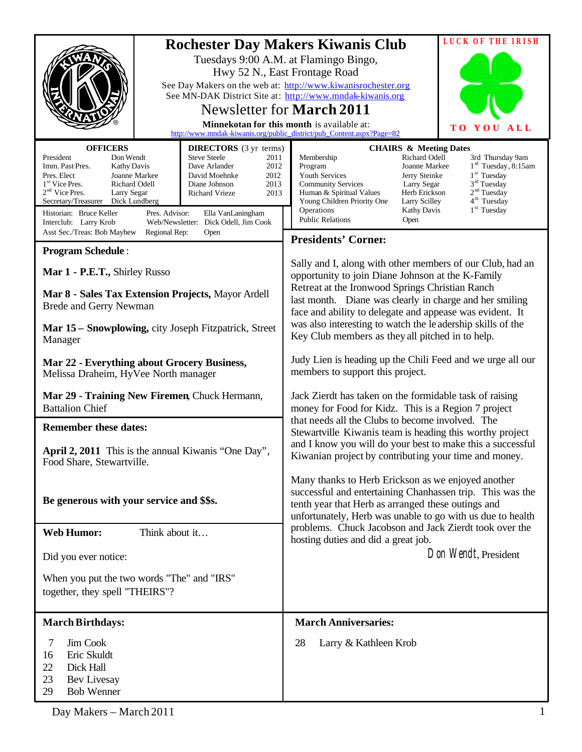|                                                                                                                                                                                                                                                                                                                                    |                                                                                                                                                                                               | <b>LUCK OF THE IRISH</b>                                                                                                                                                                                                                                                                                                                                                                                                                                                                       |     |
|------------------------------------------------------------------------------------------------------------------------------------------------------------------------------------------------------------------------------------------------------------------------------------------------------------------------------------|-----------------------------------------------------------------------------------------------------------------------------------------------------------------------------------------------|------------------------------------------------------------------------------------------------------------------------------------------------------------------------------------------------------------------------------------------------------------------------------------------------------------------------------------------------------------------------------------------------------------------------------------------------------------------------------------------------|-----|
| <b>Rochester Day Makers Kiwanis Club</b><br>Tuesdays 9:00 A.M. at Flamingo Bingo,<br>Hwy 52 N., East Frontage Road<br>See Day Makers on the web at: http://www.kiwanisrochester.org<br>See MN-DAK District Site at: http://www.mndak-kiwanis.org<br>Newsletter for <b>March 2011</b><br>Minnekotan for this month is available at: |                                                                                                                                                                                               | TO <sub>1</sub><br>YOU<br>http://www.mndak-kiwanis.org/public_district/pub_Content.aspx?Page=82                                                                                                                                                                                                                                                                                                                                                                                                | ALL |
| <b>OFFICERS</b><br><b>DIRECTORS</b> (3 yr terms)                                                                                                                                                                                                                                                                                   |                                                                                                                                                                                               | <b>CHAIRS &amp; Meeting Dates</b>                                                                                                                                                                                                                                                                                                                                                                                                                                                              |     |
| President<br>Don Wendt<br>Imm. Past Pres.<br><b>Kathy Davis</b><br>Pres. Elect<br>Joanne Markee<br>1 <sup>st</sup> Vice Pres.<br>Richard Odell<br>$2nd$ Vice Pres.<br>Larry Segar<br>Secretary/Treasurer<br>Dick Lundberg<br>Historian: Bruce Keller<br>Pres. Advisor:<br>Interclub: Larry Krob                                    | <b>Steve Steele</b><br>2011<br>Dave Arlander<br>2012<br>David Moehnke<br>2012<br>2013<br>Diane Johnson<br>Richard Vrieze<br>2013<br>Ella VanLaningham<br>Web/Newsletter: Dick Odell, Jim Cook | Richard Odell<br>Membership<br>3rd Thursday 9am<br>$1rd$ Tuesday, 8:15am<br>Joanne Markee<br>Program<br>1 <sup>st</sup> Tuesday<br>Youth Services<br>Jerry Steinke<br>3 <sup>rd</sup> Tuesday<br><b>Community Services</b><br>Larry Segar<br>2 <sup>nd</sup> Tuesday<br>Herb Erickson<br>Human & Spiritual Values<br>4 <sup>th</sup> Tuesday<br>Young Children Priority One<br>Larry Scilley<br>1 <sup>st</sup> Tuesday<br>Operations<br><b>Kathy Davis</b><br><b>Public Relations</b><br>Open |     |
| Asst Sec./Treas: Bob Mayhew<br>Regional Rep:                                                                                                                                                                                                                                                                                       | Open                                                                                                                                                                                          | <b>Presidents' Corner:</b>                                                                                                                                                                                                                                                                                                                                                                                                                                                                     |     |
| <b>Program Schedule:</b>                                                                                                                                                                                                                                                                                                           |                                                                                                                                                                                               |                                                                                                                                                                                                                                                                                                                                                                                                                                                                                                |     |
| Mar 1 - P.E.T., Shirley Russo<br>Mar 8 - Sales Tax Extension Projects, Mayor Ardell                                                                                                                                                                                                                                                |                                                                                                                                                                                               | Sally and I, along with other members of our Club, had an<br>opportunity to join Diane Johnson at the K-Family<br>Retreat at the Ironwood Springs Christian Ranch                                                                                                                                                                                                                                                                                                                              |     |
| Brede and Gerry Newman                                                                                                                                                                                                                                                                                                             |                                                                                                                                                                                               | last month. Diane was clearly in charge and her smiling<br>face and ability to delegate and appease was evident. It                                                                                                                                                                                                                                                                                                                                                                            |     |
| Mar 15 – Snowplowing, city Joseph Fitzpatrick, Street<br>Manager                                                                                                                                                                                                                                                                   |                                                                                                                                                                                               | was also interesting to watch the leadership skills of the<br>Key Club members as they all pitched in to help.                                                                                                                                                                                                                                                                                                                                                                                 |     |
| Mar 22 - Everything about Grocery Business,<br>Melissa Draheim, HyVee North manager                                                                                                                                                                                                                                                |                                                                                                                                                                                               | Judy Lien is heading up the Chili Feed and we urge all our<br>members to support this project.                                                                                                                                                                                                                                                                                                                                                                                                 |     |
| Mar 29 - Training New Firemen, Chuck Hermann,<br><b>Battalion Chief</b>                                                                                                                                                                                                                                                            |                                                                                                                                                                                               | Jack Zierdt has taken on the formidable task of raising<br>money for Food for Kidz. This is a Region 7 project                                                                                                                                                                                                                                                                                                                                                                                 |     |
| <b>Remember these dates:</b>                                                                                                                                                                                                                                                                                                       |                                                                                                                                                                                               | that needs all the Clubs to become involved. The<br>Stewartville Kiwanis team is heading this worthy project                                                                                                                                                                                                                                                                                                                                                                                   |     |
| April 2, 2011 This is the annual Kiwanis "One Day",<br>Food Share, Stewartville.                                                                                                                                                                                                                                                   |                                                                                                                                                                                               | and I know you will do your best to make this a successful<br>Kiwanian project by contributing your time and money.                                                                                                                                                                                                                                                                                                                                                                            |     |
| Be generous with your service and \$\$s.                                                                                                                                                                                                                                                                                           |                                                                                                                                                                                               | Many thanks to Herb Erickson as we enjoyed another<br>successful and entertaining Chanhassen trip. This was the<br>tenth year that Herb as arranged these outings and<br>unfortunately, Herb was unable to go with us due to health                                                                                                                                                                                                                                                            |     |
| <b>Web Humor:</b><br>Think about it                                                                                                                                                                                                                                                                                                |                                                                                                                                                                                               | problems. Chuck Jacobson and Jack Zierdt took over the<br>hosting duties and did a great job.                                                                                                                                                                                                                                                                                                                                                                                                  |     |
| Did you ever notice:                                                                                                                                                                                                                                                                                                               |                                                                                                                                                                                               | Don Wendt, President                                                                                                                                                                                                                                                                                                                                                                                                                                                                           |     |
| When you put the two words "The" and "IRS"<br>together, they spell "THEIRS"?                                                                                                                                                                                                                                                       |                                                                                                                                                                                               |                                                                                                                                                                                                                                                                                                                                                                                                                                                                                                |     |
| <b>March Birthdays:</b>                                                                                                                                                                                                                                                                                                            |                                                                                                                                                                                               | <b>March Anniversaries:</b>                                                                                                                                                                                                                                                                                                                                                                                                                                                                    |     |
| 7<br>Jim Cook<br>16<br>Eric Skuldt<br>22<br>Dick Hall<br>23<br>Bev Livesay<br>29<br><b>Bob Wenner</b>                                                                                                                                                                                                                              |                                                                                                                                                                                               | 28<br>Larry & Kathleen Krob                                                                                                                                                                                                                                                                                                                                                                                                                                                                    |     |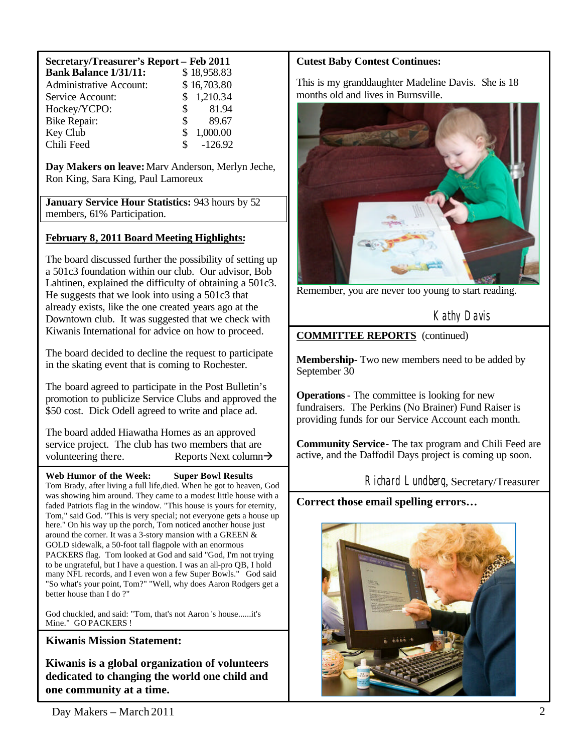| Secretary/Treasurer's Report - Feb 2011 |                       |  |  |  |
|-----------------------------------------|-----------------------|--|--|--|
| <b>Bank Balance 1/31/11:</b>            | \$18,958.83           |  |  |  |
| <b>Administrative Account:</b>          | \$16,703.80           |  |  |  |
| Service Account:                        | \$1,210.34            |  |  |  |
| Hockey/YCPO:                            | 81.94<br>$\mathbb{S}$ |  |  |  |
| <b>Bike Repair:</b>                     | 89.67<br>\$           |  |  |  |
| Key Club                                | 1,000.00<br>\$        |  |  |  |
| Chili Feed                              | $-126.92$<br>\$       |  |  |  |

**Day Makers on leave:**Marv Anderson, Merlyn Jeche, Ron King, Sara King, Paul Lamoreux

**January Service Hour Statistics:** 943 hours by 52 members, 61% Participation.

## **February 8, 2011 Board Meeting Highlights:**

The board discussed further the possibility of setting up a 501c3 foundation within our club. Our advisor, Bob Lahtinen, explained the difficulty of obtaining a 501c3. He suggests that we look into using a 501c3 that already exists, like the one created years ago at the Downtown club. It was suggested that we check with Kiwanis International for advice on how to proceed.

The board decided to decline the request to participate in the skating event that is coming to Rochester.

The board agreed to participate in the Post Bulletin's promotion to publicize Service Clubs and approved the \$50 cost. Dick Odell agreed to write and place ad.

The board added Hiawatha Homes as an approved service project. The club has two members that are volunteering there. Reports Next column $\rightarrow$ 

**Web Humor of the Week: Super Bowl Results** Tom Brady, after living a full life,died. When he got to heaven, God was showing him around. They came to a modest little house with a faded Patriots flag in the window. "This house is yours for eternity, Tom," said God. "This is very special; not everyone gets a house up here." On his way up the porch, Tom noticed another house just around the corner. It was a 3-story mansion with a GREEN & GOLD sidewalk, a 50-foot tall flagpole with an enormous PACKERS flag. Tom looked at God and said "God, I'm not trying to be ungrateful, but I have a question. I was an all-pro QB, I hold many NFL records, and I even won a few Super Bowls." God said "So what's your point, Tom?" "Well, why does Aaron Rodgers get a better house than I do ?"

God chuckled, and said: "Tom, that's not Aaron 's house......it's Mine." GO PACKERS !

**Kiwanis Mission Statement:**

**Kiwanis is a global organization of volunteers dedicated to changing the world one child and one community at a time.**

### **Cutest Baby Contest Continues:**

This is my granddaughter Madeline Davis. She is 18 months old and lives in Burnsville.



Remember, you are never too young to start reading.

Kathy Davis

**COMMITTEE REPORTS** (continued)

**Membership-** Two new members need to be added by September 30

**Operations**- The committee is looking for new fundraisers. The Perkins (No Brainer) Fund Raiser is providing funds for our Service Account each month.

**Community Service-** The tax program and Chili Feed are active, and the Daffodil Days project is coming up soon.

Richard Lundberg, Secretary/Treasurer

**Correct those email spelling errors…**

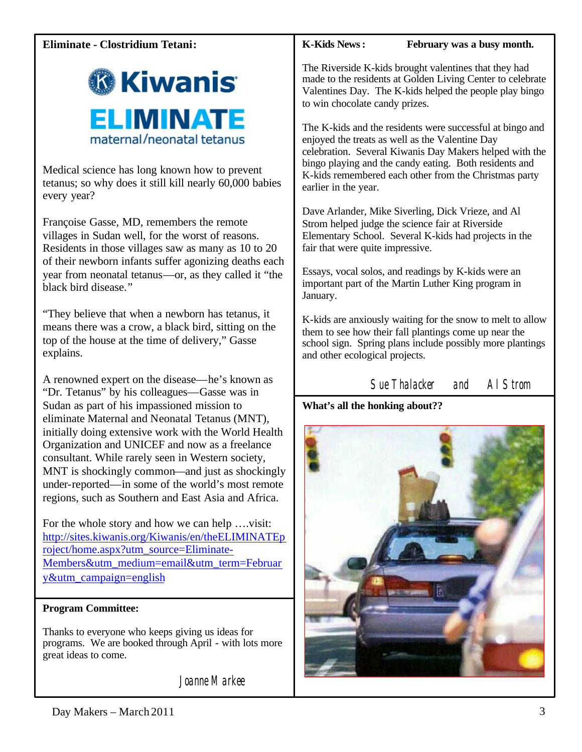# **Eliminate - Clostridium Tetani:**



Medical science has long known how to prevent tetanus; so why does it still kill nearly 60,000 babies every year?

Françoise Gasse, MD, remembers the remote villages in Sudan well, for the worst of reasons. Residents in those villages saw as many as 10 to 20 of their newborn infants suffer agonizing deaths each year from neonatal tetanus—or, as they called it "the black bird disease."

"They believe that when a newborn has tetanus, it means there was a crow, a black bird, sitting on the top of the house at the time of delivery," Gasse explains.

A renowned expert on the disease—he's known as "Dr. Tetanus" by his colleagues—Gasse was in Sudan as part of his impassioned mission to eliminate Maternal and Neonatal Tetanus (MNT), initially doing extensive work with the World Health Organization and UNICEF and now as a freelance consultant. While rarely seen in Western society, MNT is shockingly common—and just as shockingly under-reported—in some of the world's most remote regions, such as Southern and East Asia and Africa.

For the whole story and how we can help ….visit: <http://sites.kiwanis.org/Kiwanis/en/theELIMINATEp> roject/home.aspx?utm\_source=Eliminate-Members&utm\_medium=email&utm\_term=Februar y&utm\_campaign=english

## **Program Committee:**

Thanks to everyone who keeps giving us ideas for programs. We are booked through April - with lots more great ideas to come.

Joanne Markee

**K-Kids News: February was a busy month.**

The Riverside K-kids brought valentines that they had made to the residents at Golden Living Center to celebrate Valentines Day. The K-kids helped the people play bingo to win chocolate candy prizes.

The K-kids and the residents were successful at bingo and enjoyed the treats as well as the Valentine Day celebration. Several Kiwanis Day Makers helped with the bingo playing and the candy eating. Both residents and K-kids remembered each other from the Christmas party earlier in the year.

Dave Arlander, Mike Siverling, Dick Vrieze, and Al Strom helped judge the science fair at Riverside Elementary School. Several K-kids had projects in the fair that were quite impressive.

Essays, vocal solos, and readings by K-kids were an important part of the Martin Luther King program in January.

K-kids are anxiously waiting for the snow to melt to allow them to see how their fall plantings come up near the school sign. Spring plans include possibly more plantings and other ecological projects.

Sue Thalacker and Al Strom

**What's all the honking about??**